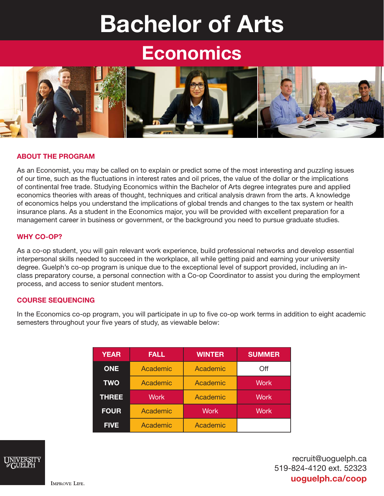# Bachelor of Arts

## Economics



#### ABOUT THE PROGRAM

As an Economist, you may be called on to explain or predict some of the most interesting and puzzling issues of our time, such as the fluctuations in interest rates and oil prices, the value of the dollar or the implications of continental free trade. Studying Economics within the Bachelor of Arts degree integrates pure and applied economics theories with areas of thought, techniques and critical analysis drawn from the arts. A knowledge of economics helps you understand the implications of global trends and changes to the tax system or health insurance plans. As a student in the Economics major, you will be provided with excellent preparation for a management career in business or government, or the background you need to pursue graduate studies.

#### WHY CO-OP?

As a co-op student, you will gain relevant work experience, build professional networks and develop essential interpersonal skills needed to succeed in the workplace, all while getting paid and earning your university degree. Guelph's co-op program is unique due to the exceptional level of support provided, including an inclass preparatory course, a personal connection with a Co-op Coordinator to assist you during the employment process, and access to senior student mentors.

#### COURSE SEQUENCING

In the Economics co-op program, you will participate in up to five co-op work terms in addition to eight academic semesters throughout your five years of study, as viewable below:

| <b>YEAR</b>  | <b>FALL</b> | <b>WINTER</b> | <b>SUMMER</b> |
|--------------|-------------|---------------|---------------|
| <b>ONE</b>   | Academic    | Academic      | Off           |
| <b>TWO</b>   | Academic    | Academic      | <b>Work</b>   |
| <b>THREE</b> | <b>Work</b> | Academic      | <b>Work</b>   |
| <b>FOUR</b>  | Academic    | Work          | <b>Work</b>   |
| <b>FIVE</b>  | Academic    | Academic      |               |



recruit@uoguelph.ca 519-824-4120 ext. 52323 uoguelph.ca/coop